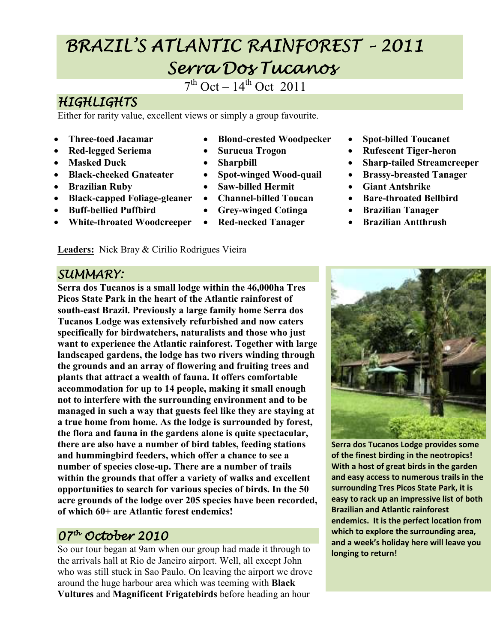# BRAZIL'S ATLANTIC RAINFOREST BRAZIL'S ATLANTIC RAINFOREST–2011 Serra Dos Tucanos

 $7<sup>th</sup> Oct - 14<sup>th</sup> Oct 2011$ 

# **HIGHLIGHTS**

Either for rarity value, excellent views or simply a group favourite.

- **Three-toed Jacamar**
- **Red-legged Seriema**
- **Masked Duck**
- **Black-cheeked Gnateater**
- **Brazilian Ruby**
- **Black-capped Foliage-gleaner**
- **Buff-bellied Puffbird**
- **White-throated Woodcreeper**

**Leaders:** Nick Bray & Cirilio Rodrigues Vieira

- **Blond-crested Woodpecker**
- **Surucua Trogon**
- **Sharpbill**
- **Spot-winged Wood-quail**
- **Saw-billed Hermit**
- **Channel-billed Toucan**
- **Grey-winged Cotinga**
- **Red-necked Tanager**
- **Spot-billed Toucanet**
- **Rufescent Tiger-heron**
- **Sharp-tailed Streamcreeper**
- **Brassy-breasted Tanager**
- **Giant Antshrike**
- **Bare-throated Bellbird**
- **Brazilian Tanager**
- **Brazilian Antthrush**

#### SUMMARY:

**Serra dos Tucanos is a small lodge within the 46,000ha Tres Picos State Park in the heart of the Atlantic rainforest of south-east Brazil. Previously a large family home Serra dos Tucanos Lodge was extensively refurbished and now caters specifically for birdwatchers, naturalists and those who just want to experience the Atlantic rainforest. Together with large landscaped gardens, the lodge has two rivers winding through the grounds and an array of flowering and fruiting trees and plants that attract a wealth of fauna. It offers comfortable accommodation for up to 14 people, making it small enough not to interfere with the surrounding environment and to be managed in such a way that guests feel like they are staying at a true home from home. As the lodge is surrounded by forest, the flora and fauna in the gardens alone is quite spectacular, there are also have a number of bird tables, feeding stations and hummingbird feeders, which offer a chance to see a number of species close-up. There are a number of trails within the grounds that offer a variety of walks and excellent opportunities to search for various species of birds. In the 50 acre grounds of the lodge over 205 species have been recorded, of which 60+ are Atlantic forest endemics!** 

# 07th October 2010

So our tour began at 9am when our group had made it through to the arrivals hall at Rio de Janeiro airport. Well, all except John who was still stuck in Sao Paulo. On leaving the airport we drove around the huge harbour area which was teeming with **Black Vultures** and **Magnificent Frigatebirds** before heading an hour



**Serra dos Tucanos Lodge provides some of the finest birding in the neotropics! With a host of great birds in the garden and easy access to numerous trails in the surrounding Tres Picos State Park, it is easy to rack up an impressive list of both Brazilian and Atlantic rainforest endemics. It is the perfect location from which to explore the surrounding area, and a week's holiday here will leave you longing to return!**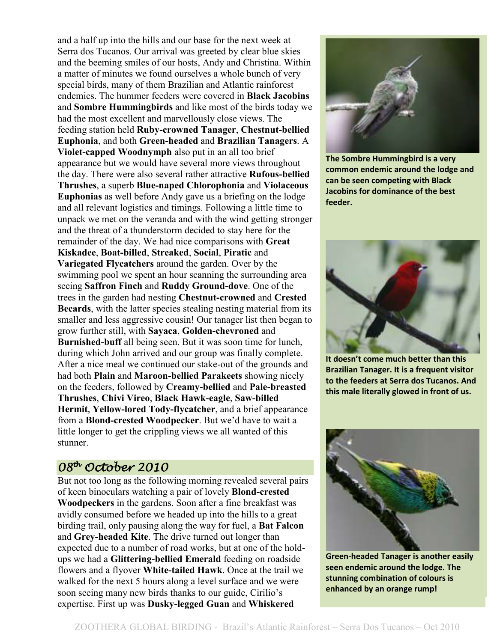and a half up into the hills and our base for the next week at Serra dos Tucanos. Our arrival was greeted by clear blue skies and the beeming smiles of our hosts, Andy and Christina. Within a matter of minutes we found ourselves a whole bunch of very special birds, many of them Brazilian and Atlantic rainforest endemics. The hummer feeders were covered in **Black Jacobins** and **Sombre Hummingbirds** and like most of the birds today we had the most excellent and marvellously close views. The feeding station held **Ruby-crowned Tanager**, **Chestnut-bellied Euphonia**, and both **Green-headed** and **Brazilian Tanagers**. A **Violet-capped Woodnymph** also put in an all too brief appearance but we would have several more views throughout the day. There were also several rather attractive **Rufous-bellied Thrushes**, a superb **Blue-naped Chlorophonia** and **Violaceous Euphonias** as well before Andy gave us a briefing on the lodge and all relevant logistics and timings. Following a little time to unpack we met on the veranda and with the wind getting stronger and the threat of a thunderstorm decided to stay here for the remainder of the day. We had nice comparisons with **Great Kiskadee**, **Boat-billed**, **Streaked**, **Social**, **Piratic** and **Variegated Flycatchers** around the garden. Over by the swimming pool we spent an hour scanning the surrounding area seeing **Saffron Finch** and **Ruddy Ground-dove**. One of the trees in the garden had nesting **Chestnut-crowned** and **Crested Becards**, with the latter species stealing nesting material from its smaller and less aggressive cousin! Our tanager list then began to grow further still, with **Sayaca**, **Golden-chevroned** and **Burnished-buff** all being seen. But it was soon time for lunch, during which John arrived and our group was finally complete. After a nice meal we continued our stake-out of the grounds and had both **Plain** and **Maroon-bellied Parakeets** showing nicely on the feeders, followed by **Creamy-bellied** and **Pale-breasted Thrushes**, **Chivi Vireo**, **Black Hawk-eagle**, **Saw-billed Hermit**, **Yellow-lored Tody-flycatcher**, and a brief appearance from a **Blond-crested Woodpecker**. But we'd have to wait a little longer to get the crippling views we all wanted of this stunner.

#### 08<sup>th</sup> October 2010

But not too long as the following morning revealed several pairs of keen binoculars watching a pair of lovely **Blond-crested Woodpeckers** in the gardens. Soon after a fine breakfast was avidly consumed before we headed up into the hills to a great birding trail, only pausing along the way for fuel, a **Bat Falcon** and **Grey-headed Kite**. The drive turned out longer than expected due to a number of road works, but at one of the holdups we had a **Glittering-bellied Emerald** feeding on roadside flowers and a flyover **White-tailed Hawk**. Once at the trail we walked for the next 5 hours along a level surface and we were soon seeing many new birds thanks to our guide, Cirilio's expertise. First up was **Dusky-legged Guan** and **Whiskered**



**The Sombre Hummingbird is a very common endemic around the lodge and can be seen competing with Black Jacobins for dominance of the best feeder.** 



 **this male literally glowed in front of us. It doesn't come much better than this Brazilian Tanager. It is a frequent visitor to the feeders at Serra dos Tucanos. And** 



**Green-headed Tanager is another easily seen endemic around the lodge. The stunning combination of colours is enhanced by an orange rump!**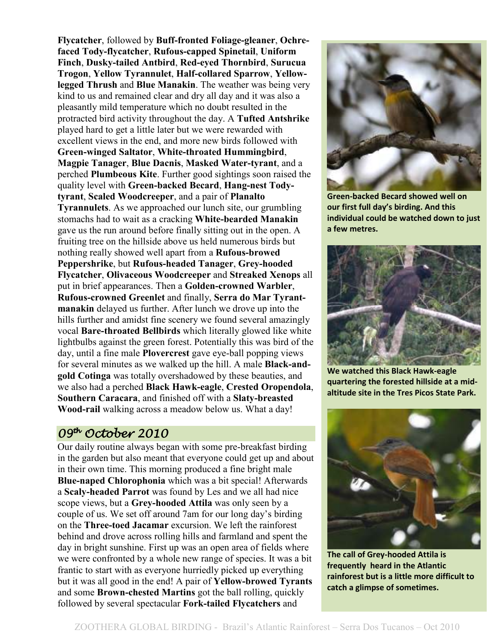**Flycatcher**, followed by **Buff-fronted Foliage-gleaner**, **Ochrefaced Tody-flycatcher**, **Rufous-capped Spinetail**, **Uniform Finch**, **Dusky-tailed Antbird**, **Red-eyed Thornbird**, **Surucua Trogon**, **Yellow Tyrannulet**, **Half-collared Sparrow**, **Yellowlegged Thrush** and **Blue Manakin**. The weather was being very kind to us and remained clear and dry all day and it was also a pleasantly mild temperature which no doubt resulted in the protracted bird activity throughout the day. A **Tufted Antshrike** played hard to get a little later but we were rewarded with excellent views in the end, and more new birds followed with **Green-winged Saltator**, **White-throated Hummingbird**, **Magpie Tanager**, **Blue Dacnis**, **Masked Water-tyrant**, and a perched **Plumbeous Kite**. Further good sightings soon raised the quality level with **Green-backed Becard**, **Hang-nest Todytyrant**, **Scaled Woodcreeper**, and a pair of **Planalto Tyrannulets**. As we approached our lunch site, our grumbling stomachs had to wait as a cracking **White-bearded Manakin** gave us the run around before finally sitting out in the open. A fruiting tree on the hillside above us held numerous birds but nothing really showed well apart from a **Rufous-browed Peppershrike**, but **Rufous-headed Tanager**, **Grey-hooded Flycatcher**, **Olivaceous Woodcreeper** and **Streaked Xenops** all put in brief appearances. Then a **Golden-crowned Warbler**, **Rufous-crowned Greenlet** and finally, **Serra do Mar Tyrantmanakin** delayed us further. After lunch we drove up into the hills further and amidst fine scenery we found several amazingly vocal **Bare-throated Bellbirds** which literally glowed like white lightbulbs against the green forest. Potentially this was bird of the day, until a fine male **Plovercrest** gave eye-ball popping views for several minutes as we walked up the hill. A male **Black-andgold Cotinga** was totally overshadowed by these beauties, and we also had a perched **Black Hawk-eagle**, **Crested Oropendola**, **Southern Caracara**, and finished off with a **Slaty-breasted Wood-rail** walking across a meadow below us. What a day!

#### 09th October 2010 2010

Our daily routine always began with some pre-breakfast birding in the garden but also meant that everyone could get up and about in their own time. This morning produced a fine bright male **Blue-naped Chlorophonia** which was a bit special! Afterwards a **Scaly-headed Parrot** was found by Les and we all had nice scope views, but a **Grey-hooded Attila** was only seen by a couple of us. We set off around 7am for our long day's birding on the **Three-toed Jacamar** excursion. We left the rainforest behind and drove across rolling hills and farmland and spent the day in bright sunshine. First up was an open area of fields where we were confronted by a whole new range of species. It was a bit frantic to start with as everyone hurriedly picked up everything but it was all good in the end! A pair of **Yellow-browed Tyrants** and some **Brown-chested Martins** got the ball rolling, quickly followed by several spectacular **Fork-tailed Flycatchers** and



**Green-backed Becard showed well on our first full day's birding. And this individual could be watched down to just a few metres.** 



**We watched this Black Hawk-eagle quartering the forested hillside at a midaltitude site in the Tres Picos State Park.** 



**The call of Grey-hooded Attila is frequently heard in the Atlantic rainforest but is a little more difficult to catch a glimpse of sometimes.**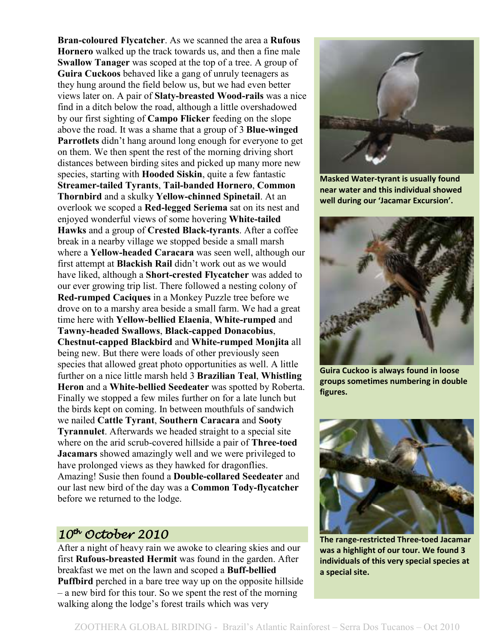**Bran-coloured Flycatcher**. As we scanned the area a **Rufous Hornero** walked up the track towards us, and then a fine male **Swallow Tanager** was scoped at the top of a tree. A group of **Guira Cuckoos** behaved like a gang of unruly teenagers as they hung around the field below us, but we had even better views later on. A pair of **Slaty-breasted Wood-rails** was a nice find in a ditch below the road, although a little overshadowed by our first sighting of **Campo Flicker** feeding on the slope above the road. It was a shame that a group of 3 **Blue-winged Parrotlets** didn't hang around long enough for everyone to get on them. We then spent the rest of the morning driving short distances between birding sites and picked up many more new species, starting with **Hooded Siskin**, quite a few fantastic **Streamer-tailed Tyrants**, **Tail-banded Hornero**, **Common Thornbird** and a skulky **Yellow-chinned Spinetail**. At an overlook we scoped a **Red-legged Seriema** sat on its nest and enjoyed wonderful views of some hovering **White-tailed Hawks** and a group of **Crested Black-tyrants**. After a coffee break in a nearby village we stopped beside a small marsh where a **Yellow-headed Caracara** was seen well, although our first attempt at **Blackish Rail** didn't work out as we would have liked, although a **Short-crested Flycatcher** was added to our ever growing trip list. There followed a nesting colony of **Red-rumped Caciques** in a Monkey Puzzle tree before we drove on to a marshy area beside a small farm. We had a great time here with **Yellow-bellied Elaenia**, **White-rumped** and **Tawny-headed Swallows**, **Black-capped Donacobius**, **Chestnut-capped Blackbird** and **White-rumped Monjita** all being new. But there were loads of other previously seen species that allowed great photo opportunities as well. A little further on a nice little marsh held 3 **Brazilian Teal**, **Whistling Heron** and a **White-bellied Seedeater** was spotted by Roberta. Finally we stopped a few miles further on for a late lunch but the birds kept on coming. In between mouthfuls of sandwich we nailed **Cattle Tyrant**, **Southern Caracara** and **Sooty Tyrannulet**. Afterwards we headed straight to a special site where on the arid scrub-covered hillside a pair of **Three-toed Jacamars** showed amazingly well and we were privileged to have prolonged views as they hawked for dragonflies. Amazing! Susie then found a **Double-collared Seedeater** and our last new bird of the day was a **Common Tody-flycatcher** before we returned to the lodge.

#### $10^{th}$  October 2010

After a night of heavy rain we awoke to clearing skies and our first **Rufous-breasted Hermit** was found in the garden. After breakfast we met on the lawn and scoped a **Buff-bellied Puffbird** perched in a bare tree way up on the opposite hillside – a new bird for this tour. So we spent the rest of the morning walking along the lodge's forest trails which was very



**Masked Water-tyrant is usually found near water and this individual showed well during our 'Jacamar Excursion'.** 



**Guira Cuckoo is always found in loose groups sometimes numbering in double figures.**



**The range-restricted Three-toed Jacamar was a highlight of our tour. We found 3 individuals of this very special species at a special site.**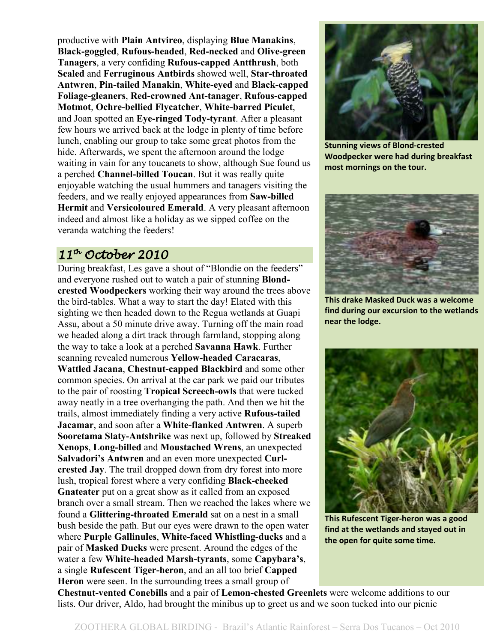productive with **Plain Antvireo**, displaying **Blue Manakins**, **Black-goggled**, **Rufous-headed**, **Red-necked** and **Olive-green Tanagers**, a very confiding **Rufous-capped Antthrush**, both **Scaled** and **Ferruginous Antbirds** showed well, **Star-throated Antwren**, **Pin-tailed Manakin**, **White-eyed** and **Black-capped Foliage-gleaners**, **Red-crowned Ant-tanager**, **Rufous-capped Motmot**, **Ochre-bellied Flycatcher**, **White-barred Piculet**, and Joan spotted an **Eye-ringed Tody-tyrant**. After a pleasant few hours we arrived back at the lodge in plenty of time before lunch, enabling our group to take some great photos from the hide. Afterwards, we spent the afternoon around the lodge waiting in vain for any toucanets to show, although Sue found us a perched **Channel-billed Toucan**. But it was really quite enjoyable watching the usual hummers and tanagers visiting the feeders, and we really enjoyed appearances from **Saw-billed Hermit** and **Versicoloured Emerald**. A very pleasant afternoon indeed and almost like a holiday as we sipped coffee on the veranda watching the feeders!

# $11<sup>th</sup>$  October 2010

During breakfast, Les gave a shout of "Blondie on the feeders" and everyone rushed out to watch a pair of stunning **Blondcrested Woodpeckers** working their way around the trees above the bird-tables. What a way to start the day! Elated with this sighting we then headed down to the Regua wetlands at Guapi Assu, about a 50 minute drive away. Turning off the main road we headed along a dirt track through farmland, stopping along the way to take a look at a perched **Savanna Hawk**. Further scanning revealed numerous **Yellow-headed Caracaras**, **Wattled Jacana**, **Chestnut-capped Blackbird** and some other common species. On arrival at the car park we paid our tributes to the pair of roosting **Tropical Screech-owls** that were tucked away neatly in a tree overhanging the path. And then we hit the trails, almost immediately finding a very active **Rufous-tailed Jacamar**, and soon after a **White-flanked Antwren**. A superb **Sooretama Slaty-Antshrike** was next up, followed by **Streaked Xenops**, **Long-billed** and **Moustached Wrens**, an unexpected **Salvadori's Antwren** and an even more unexpected **Curlcrested Jay**. The trail dropped down from dry forest into more lush, tropical forest where a very confiding **Black-cheeked Gnateater** put on a great show as it called from an exposed branch over a small stream. Then we reached the lakes where we found a **Glittering-throated Emerald** sat on a nest in a small bush beside the path. But our eyes were drawn to the open water where **Purple Gallinules**, **White-faced Whistling-ducks** and a pair of **Masked Ducks** were present. Around the edges of the water a few **White-headed Marsh-tyrants**, some **Capybara's**, a single **Rufescent Tiger-heron**, and an all too brief **Capped Heron** were seen. In the surrounding trees a small group of



**Stunning views of Blond-crested Woodpecker were had during breakfast most mornings on the tour.** 



**This drake Masked Duck was a welcome find during our excursion to the wetlands near the lodge.** 



**This Rufescent Tiger-heron was a good find at the wetlands and stayed out in the open for quite some time.** 

**Chestnut-vented Conebills** and a pair of **Lemon-chested Greenlets** were welcome additions to our lists. Our driver, Aldo, had brought the minibus up to greet us and we soon tucked into our picnic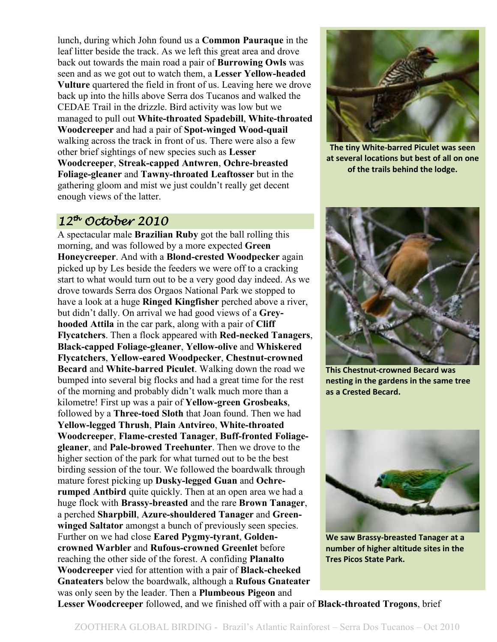lunch, during which John found us a **Common Pauraque** in the leaf litter beside the track. As we left this great area and drove back out towards the main road a pair of **Burrowing Owls** was seen and as we got out to watch them, a **Lesser Yellow-headed Vulture** quartered the field in front of us. Leaving here we drove back up into the hills above Serra dos Tucanos and walked the CEDAE Trail in the drizzle. Bird activity was low but we managed to pull out **White-throated Spadebill**, **White-throated Woodcreeper** and had a pair of **Spot-winged Wood-quail** walking across the track in front of us. There were also a few other brief sightings of new species such as **Lesser Woodcreeper**, **Streak-capped Antwren**, **Ochre-breasted Foliage-gleaner** and **Tawny-throated Leaftosser** but in the gathering gloom and mist we just couldn't really get decent enough views of the latter.

# $12^{th}$  October 2010

A spectacular male **Brazilian Ruby** got the ball rolling this morning, and was followed by a more expected **Green Honeycreeper**. And with a **Blond-crested Woodpecker** again picked up by Les beside the feeders we were off to a cracking start to what would turn out to be a very good day indeed. As we drove towards Serra dos Orgaos National Park we stopped to have a look at a huge **Ringed Kingfisher** perched above a river, but didn't dally. On arrival we had good views of a **Greyhooded Attila** in the car park, along with a pair of **Cliff Flycatchers**. Then a flock appeared with **Red-necked Tanagers**, **Black-capped Foliage-gleaner**, **Yellow-olive** and **Whiskered Flycatchers**, **Yellow-eared Woodpecker**, **Chestnut-crowned Becard** and **White-barred Piculet**. Walking down the road we bumped into several big flocks and had a great time for the rest of the morning and probably didn't walk much more than a kilometre! First up was a pair of **Yellow-green Grosbeaks**, followed by a **Three-toed Sloth** that Joan found. Then we had **Yellow-legged Thrush**, **Plain Antvireo**, **White-throated Woodcreeper**, **Flame-crested Tanager**, **Buff-fronted Foliagegleaner**, and **Pale-browed Treehunter**. Then we drove to the higher section of the park for what turned out to be the best birding session of the tour. We followed the boardwalk through mature forest picking up **Dusky-legged Guan** and **Ochrerumped Antbird** quite quickly. Then at an open area we had a huge flock with **Brassy-breasted** and the rare **Brown Tanager**, a perched **Sharpbill**, **Azure-shouldered Tanager** and **Greenwinged Saltator** amongst a bunch of previously seen species. Further on we had close **Eared Pygmy-tyrant**, **Goldencrowned Warbler** and **Rufous-crowned Greenlet** before reaching the other side of the forest. A confiding **Planalto Woodcreeper** vied for attention with a pair of **Black-cheeked Gnateaters** below the boardwalk, although a **Rufous Gnateater** was only seen by the leader. Then a **Plumbeous Pigeon** and



**The tiny White-barred Piculet was seen at several locations but best of all on one of the trails behind the lodge.** 



**This Chestnut-crowned Becard was nesting in the gardens in the same tree as a Crested Becard.** 



**We saw Brassy-breasted Tanager at a number of higher altitude sites in the Tres Picos State Park.** 

**Lesser Woodcreeper** followed, and we finished off with a pair of **Black-throated Trogons**, brief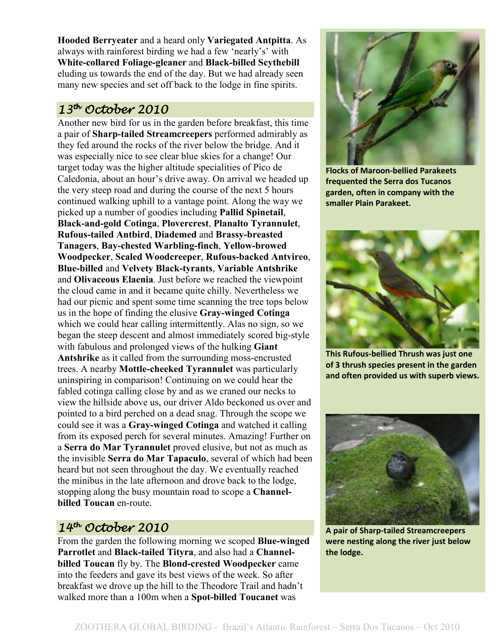**Hooded Berryeater** and a heard only **Variegated Antpitta**. As always with rainforest birding we had a few 'nearly's' with **White-collared Foliage-gleaner** and **Black-billed Scythebill** eluding us towards the end of the day. But we had already seen many new species and set off back to the lodge in fine spirits.

# $13^{th}$  October 2010

Another new bird for us in the garden before breakfast, this time a pair of **Sharp-tailed Streamcreepers** performed admirably as they fed around the rocks of the river below the bridge. And it was especially nice to see clear blue skies for a change! Our target today was the higher altitude specialities of Pico de Caledonia, about an hour's drive away. On arrival we headed up the very steep road and during the course of the next 5 hours continued walking uphill to a vantage point. Along the way we picked up a number of goodies including **Pallid Spinetail**, **Black-and-gold Cotinga**, **Plovercrest**, **Planalto Tyrannulet**, **Rufous-tailed Antbird**, **Diademed** and **Brassy-breasted Tanagers**, **Bay-chested Warbling-finch**, **Yellow-browed Woodpecker**, **Scaled Woodcreeper**, **Rufous-backed Antvireo**, **Blue-billed** and **Velvety Black-tyrants**, **Variable Antshrike** and **Olivaceous Elaenia**. Just before we reached the viewpoint the cloud came in and it became quite chilly. Nevertheless we had our picnic and spent some time scanning the tree tops below us in the hope of finding the elusive **Gray-winged Cotinga** which we could hear calling intermittently. Alas no sign, so we began the steep descent and almost immediately scored big-style with fabulous and prolonged views of the hulking **Giant Antshrike** as it called from the surrounding moss-encrusted trees. A nearby **Mottle-cheeked Tyrannulet** was particularly uninspiring in comparison! Continuing on we could hear the fabled cotinga calling close by and as we craned our necks to view the hillside above us, our driver Aldo beckoned us over and pointed to a bird perched on a dead snag. Through the scope we could see it was a **Gray-winged Cotinga** and watched it calling from its exposed perch for several minutes. Amazing! Further on a **Serra do Mar Tyrannulet** proved elusive, but not as much as the invisible **Serra do Mar Tapaculo**, several of which had been heard but not seen throughout the day. We eventually reached the minibus in the late afternoon and drove back to the lodge, stopping along the busy mountain road to scope a **Channelbilled Toucan** en-route.

# $14$ <sup>th</sup> October 2010

From the garden the following morning we scoped **Blue-winged Parrotlet** and **Black-tailed Tityra**, and also had a **Channelbilled Toucan** fly by. The **Blond-crested Woodpecker** came into the feeders and gave its best views of the week. So after breakfast we drove up the hill to the Theodore Trail and hadn't walked more than a 100m when a **Spot-billed Toucanet** was



**Flocks of Maroon-bellied Parakeets frequented the Serra dos Tucanos garden, often in company with the smaller Plain Parakeet.** 



**This Rufous-bellied Thrush was just one of 3 thrush species present in the garden and often provided us with superb views.** 



**A pair of Sharp-tailed Streamcreepers were nesting along the river just below the lodge.**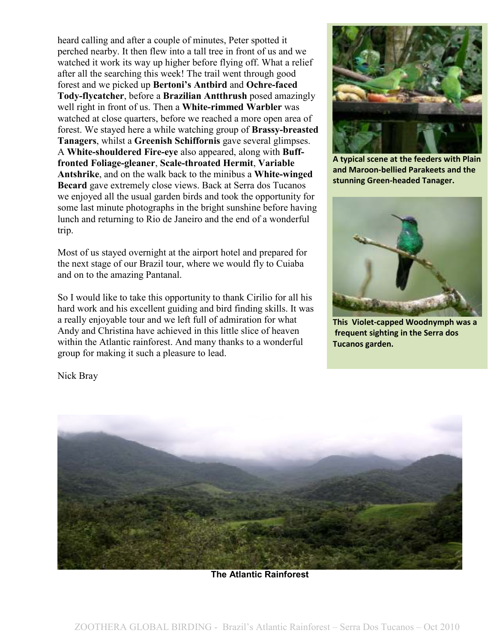heard calling and after a couple of minutes, Peter spotted it perched nearby. It then flew into a tall tree in front of us and we watched it work its way up higher before flying off. What a relief after all the searching this week! The trail went through good forest and we picked up **Bertoni's Antbird** and **Ochre-faced Tody-flycatcher**, before a **Brazilian Antthrush** posed amazingly well right in front of us. Then a **White-rimmed Warbler** was watched at close quarters, before we reached a more open area of forest. We stayed here a while watching group of **Brassy-breasted Tanagers**, whilst a **Greenish Schiffornis** gave several glimpses. A **White-shouldered Fire-eye** also appeared, along with **Bufffronted Foliage-gleaner**, **Scale-throated Hermit**, **Variable Antshrike**, and on the walk back to the minibus a **White-winged Becard** gave extremely close views. Back at Serra dos Tucanos we enjoyed all the usual garden birds and took the opportunity for some last minute photographs in the bright sunshine before having lunch and returning to Rio de Janeiro and the end of a wonderful trip.

Most of us stayed overnight at the airport hotel and prepared for the next stage of our Brazil tour, where we would fly to Cuiaba and on to the amazing Pantanal.

So I would like to take this opportunity to thank Cirilio for all his hard work and his excellent guiding and bird finding skills. It was a really enjoyable tour and we left full of admiration for what Andy and Christina have achieved in this little slice of heaven within the Atlantic rainforest. And many thanks to a wonderful group for making it such a pleasure to lead.



**A typical scene at the feeders with Plain and Maroon-bellied Parakeets and the stunning Green-headed Tanager.** 



**This Violet-capped Woodnymph was a frequent sighting in the Serra dos Tucanos garden.** 

Nick Bray



**The Atlantic Rainforest**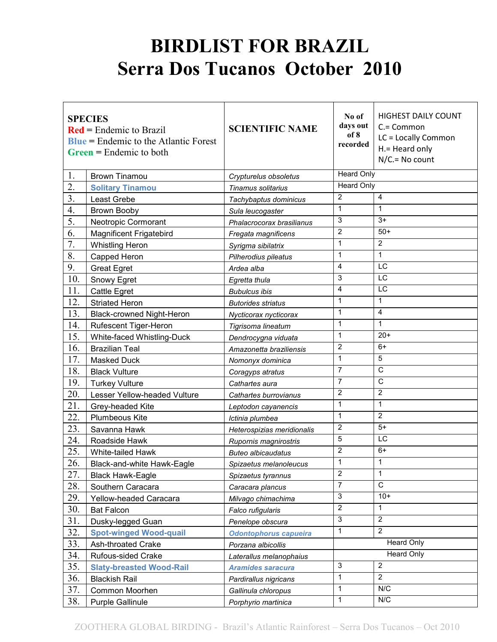# **BIRDLIST FOR BRAZIL Serra Dos Tucanos October 2010**

| <b>SPECIES</b><br>$\text{Red}$ = Endemic to Brazil<br>$Blue = Endemic to the Atlantic Forest$<br>$Green = Endemic$ to both |                                  | <b>SCIENTIFIC NAME</b>       | No of<br>days out<br>of 8<br>recorded | <b>HIGHEST DAILY COUNT</b><br>$C = Common$<br>LC = Locally Common<br>H.= Heard only<br>$N/C = No$ count |  |
|----------------------------------------------------------------------------------------------------------------------------|----------------------------------|------------------------------|---------------------------------------|---------------------------------------------------------------------------------------------------------|--|
| 1.                                                                                                                         | <b>Brown Tinamou</b>             | Crypturelus obsoletus        | <b>Heard Only</b>                     |                                                                                                         |  |
| 2.                                                                                                                         | <b>Solitary Tinamou</b>          | Tinamus solitarius           | <b>Heard Only</b>                     |                                                                                                         |  |
| 3.                                                                                                                         | Least Grebe                      | Tachybaptus dominicus        | 2                                     | $\overline{4}$                                                                                          |  |
| 4.                                                                                                                         | <b>Brown Booby</b>               | Sula leucogaster             | $\mathbf{1}$                          | 1                                                                                                       |  |
| 5.                                                                                                                         | Neotropic Cormorant              | Phalacrocorax brasilianus    | 3                                     | $3+$                                                                                                    |  |
| 6.                                                                                                                         | <b>Magnificent Frigatebird</b>   | Fregata magnificens          | $\overline{2}$                        | $50+$                                                                                                   |  |
| 7.                                                                                                                         | <b>Whistling Heron</b>           | Syrigma sibilatrix           | $\mathbf{1}$                          | $\overline{c}$                                                                                          |  |
| 8.                                                                                                                         | Capped Heron                     | Pilherodius pileatus         | 1                                     | 1                                                                                                       |  |
| 9.                                                                                                                         | <b>Great Egret</b>               | Ardea alba                   | 4                                     | LC                                                                                                      |  |
| 10.                                                                                                                        | Snowy Egret                      | Egretta thula                | 3                                     | LC                                                                                                      |  |
| 11.                                                                                                                        | <b>Cattle Egret</b>              | <b>Bubulcus ibis</b>         | 4                                     | LC                                                                                                      |  |
| 12.                                                                                                                        | <b>Striated Heron</b>            | <b>Butorides striatus</b>    | 1                                     | 1                                                                                                       |  |
| 13.                                                                                                                        | <b>Black-crowned Night-Heron</b> | Nycticorax nycticorax        | $\mathbf{1}$                          | 4                                                                                                       |  |
| 14.                                                                                                                        | Rufescent Tiger-Heron            | Tigrisoma lineatum           | $\mathbf{1}$                          | 1                                                                                                       |  |
| 15.                                                                                                                        | White-faced Whistling-Duck       | Dendrocygna viduata          | $\mathbf{1}$                          | $20+$                                                                                                   |  |
| 16.                                                                                                                        | <b>Brazilian Teal</b>            | Amazonetta braziliensis      | $\overline{2}$                        | $6+$                                                                                                    |  |
| 17.                                                                                                                        | <b>Masked Duck</b>               | Nomonyx dominica             | $\mathbf{1}$                          | 5                                                                                                       |  |
| 18.                                                                                                                        | <b>Black Vulture</b>             | Coragyps atratus             | $\overline{7}$                        | $\overline{C}$                                                                                          |  |
| 19.                                                                                                                        | <b>Turkey Vulture</b>            | Cathartes aura               | $\overline{7}$                        | $\overline{\text{c}}$                                                                                   |  |
| 20.                                                                                                                        | Lesser Yellow-headed Vulture     | Cathartes burrovianus        | $\overline{2}$                        | $\overline{2}$                                                                                          |  |
| 21.                                                                                                                        | Grey-headed Kite                 | Leptodon cayanencis          | $\mathbf{1}$                          | 1                                                                                                       |  |
| 22.                                                                                                                        | Plumbeous Kite                   | Ictinia plumbea              | 1                                     | $\overline{2}$                                                                                          |  |
| 23.                                                                                                                        | Savanna Hawk                     | Heterospizias meridionalis   | $\overline{2}$                        | $5+$                                                                                                    |  |
| 24.                                                                                                                        | Roadside Hawk                    | Rupornis magnirostris        | 5                                     | LC                                                                                                      |  |
| 25.                                                                                                                        | White-tailed Hawk                | <b>Buteo albicaudatus</b>    | $\overline{2}$                        | $6+$                                                                                                    |  |
| 26.                                                                                                                        | Black-and-white Hawk-Eagle       | Spizaetus melanoleucus       | 1                                     | 1                                                                                                       |  |
| 27.                                                                                                                        | <b>Black Hawk-Eagle</b>          | Spizaetus tyrannus           | $\overline{2}$                        | 1                                                                                                       |  |
| 28.                                                                                                                        | Southern Caracara                | Caracara plancus             | $\overline{7}$                        | $\mathsf{C}$                                                                                            |  |
| 29.                                                                                                                        | Yellow-headed Caracara           | Milvago chimachima           | 3                                     | $10+$                                                                                                   |  |
| 30.                                                                                                                        | <b>Bat Falcon</b>                | Falco rufigularis            | $\overline{2}$                        | 1                                                                                                       |  |
| 31.                                                                                                                        | Dusky-legged Guan                | Penelope obscura             | $\overline{3}$                        | $\overline{2}$                                                                                          |  |
| 32.                                                                                                                        | <b>Spot-winged Wood-quail</b>    | <b>Odontophorus capueira</b> | $\mathbf{1}$                          | $\overline{2}$                                                                                          |  |
| 33.                                                                                                                        | Ash-throated Crake               | Porzana albicollis           |                                       | <b>Heard Only</b>                                                                                       |  |
| 34.                                                                                                                        | Rufous-sided Crake               | Laterallus melanophaius      | <b>Heard Only</b>                     |                                                                                                         |  |
| 35.                                                                                                                        | <b>Slaty-breasted Wood-Rail</b>  | <b>Aramides saracura</b>     | 3                                     | $\boldsymbol{2}$                                                                                        |  |
| 36.                                                                                                                        | <b>Blackish Rail</b>             | Pardirallus nigricans        | $\mathbf{1}$                          | $\overline{2}$                                                                                          |  |
| 37.                                                                                                                        | Common Moorhen                   | Gallinula chloropus          | $\mathbf{1}$                          | N/C                                                                                                     |  |
| 38.                                                                                                                        | Purple Gallinule                 | Porphyrio martinica          | $\mathbf{1}$                          | N/C                                                                                                     |  |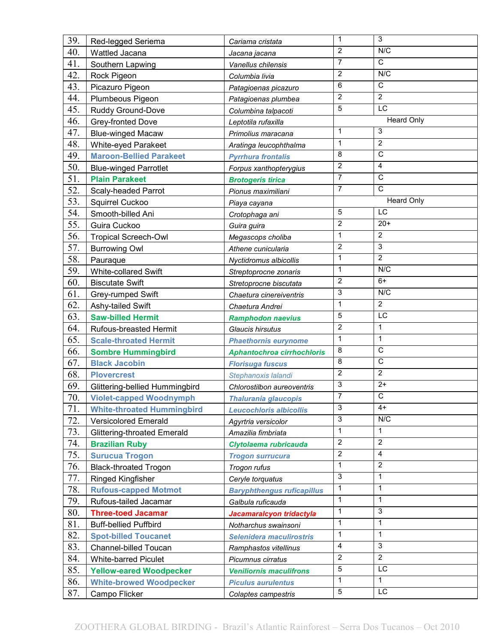| 39. | Red-legged Seriema                 | Cariama cristata                  | $\mathbf{1}$   | 3                 |
|-----|------------------------------------|-----------------------------------|----------------|-------------------|
| 40. | Wattled Jacana                     | Jacana jacana                     | 2              | N/C               |
| 41. | Southern Lapwing                   | Vanellus chilensis                | $\overline{7}$ | $\overline{C}$    |
| 42. | Rock Pigeon                        | Columbia livia                    | 2              | N/C               |
| 43. | Picazuro Pigeon                    | Patagioenas picazuro              | $\,6\,$        | $\mathsf C$       |
| 44. | Plumbeous Pigeon                   | Patagioenas plumbea               | $\overline{2}$ | $\overline{2}$    |
| 45. | Ruddy Ground-Dove                  | Columbina talpacoti               | 5              | LC                |
| 46. | Grey-fronted Dove                  | Leptotila rufaxilla               |                | <b>Heard Only</b> |
| 47. | <b>Blue-winged Macaw</b>           | Primolius maracana                | $\mathbf{1}$   | 3                 |
| 48. | White-eyed Parakeet                | Aratinga leucophthalma            | $\mathbf{1}$   | $\overline{2}$    |
| 49. | <b>Maroon-Bellied Parakeet</b>     | <b>Pyrrhura frontalis</b>         | 8              | $\overline{C}$    |
| 50. | <b>Blue-winged Parrotlet</b>       | Forpus xanthopterygius            | $\overline{2}$ | 4                 |
| 51. | <b>Plain Parakeet</b>              | <b>Brotogeris tirica</b>          | $\overline{7}$ | $\mathsf C$       |
| 52. | Scaly-headed Parrot                | Pionus maximiliani                | $\overline{7}$ | $\overline{c}$    |
| 53. | Squirrel Cuckoo                    | Piaya cayana                      |                | <b>Heard Only</b> |
| 54. | Smooth-billed Ani                  | Crotophaga ani                    | 5              | $\overline{LC}$   |
| 55. | Guira Cuckoo                       | Guira guira                       | $\overline{2}$ | $20+$             |
| 56. | <b>Tropical Screech-Owl</b>        | Megascops choliba                 | $\mathbf{1}$   | $\overline{2}$    |
| 57. | <b>Burrowing Owl</b>               | Athene cunicularia                | $\overline{2}$ | 3                 |
| 58. | Pauraque                           | Nyctidromus albicollis            | $\mathbf 1$    | $\overline{2}$    |
| 59. | White-collared Swift               | Streptoprocne zonaris             | $\mathbf 1$    | N/C               |
| 60. | <b>Biscutate Swift</b>             | Stretoprocne biscutata            | $\overline{2}$ | $6+$              |
| 61. | Grey-rumped Swift                  | Chaetura cinereiventris           | 3              | N/C               |
| 62. | Ashy-tailed Swift                  | Chaetura Andrei                   | $\mathbf{1}$   | $\overline{2}$    |
| 63. | <b>Saw-billed Hermit</b>           | <b>Ramphodon naevius</b>          | 5              | $\overline{LC}$   |
| 64. | Rufous-breasted Hermit             | Glaucis hirsutus                  | $\overline{2}$ | $\mathbf 1$       |
| 65. | <b>Scale-throated Hermit</b>       | <b>Phaethornis eurynome</b>       | $\mathbf{1}$   | $\mathbf{1}$      |
| 66. | <b>Sombre Hummingbird</b>          | <b>Aphantochroa cirrhochloris</b> | 8              | $\mathsf C$       |
| 67. | <b>Black Jacobin</b>               | <b>Florisuga fuscus</b>           | 8              | $\overline{C}$    |
| 68. | <b>Plovercrest</b>                 | Stephanoxis lalandi               | $\overline{2}$ | $\overline{2}$    |
| 69. | Glittering-bellied Hummingbird     | Chlorostilbon aureoventris        | 3              | $2+$              |
| 70. | <b>Violet-capped Woodnymph</b>     | <b>Thalurania glaucopis</b>       | $\overline{7}$ | $\mathsf C$       |
| 71. | <b>White-throated Hummingbird</b>  | <b>Leucochloris albicollis</b>    | 3              | $4+$              |
| 72. | <b>Versicolored Emerald</b>        | Agyrtria versicolor               | 3              | N/C               |
| 73. | <b>Glittering-throated Emerald</b> | Amazilia fimbriata                | $\mathbf{1}$   | $\mathbf{1}$      |
| 74. | <b>Brazilian Ruby</b>              | Clytolaema rubricauda             | $\overline{2}$ | 2                 |
| 75. | <b>Surucua Trogon</b>              | <b>Trogon surrucura</b>           | $\overline{2}$ | 4                 |
| 76. | <b>Black-throated Trogon</b>       | Trogon rufus                      | $\mathbf{1}$   | $\overline{2}$    |
| 77. | Ringed Kingfisher                  | Ceryle torquatus                  | 3              | $\mathbf{1}$      |
| 78. | <b>Rufous-capped Motmot</b>        | <b>Baryphthengus ruficapillus</b> | $\mathbf{1}$   | $\mathbf{1}$      |
| 79. | Rufous-tailed Jacamar              | Galbula ruficauda                 | $\mathbf{1}$   | $\mathbf{1}$      |
| 80. | <b>Three-toed Jacamar</b>          | Jacamaralcyon tridactyla          | $\mathbf{1}$   | 3                 |
| 81. | <b>Buff-bellied Puffbird</b>       | Notharchus swainsoni              | $\mathbf{1}$   | 1                 |
| 82. | <b>Spot-billed Toucanet</b>        | Selenidera maculirostris          | $\mathbf{1}$   | $\mathbf{1}$      |
| 83. | Channel-billed Toucan              | Ramphastos vitellinus             | 4              | 3                 |
| 84. | <b>White-barred Piculet</b>        | Picumnus cirratus                 | $\overline{2}$ | $\overline{2}$    |
| 85. | <b>Yellow-eared Woodpecker</b>     | <b>Veniliornis maculifrons</b>    | 5              | LC                |
| 86. | <b>White-browed Woodpecker</b>     | <b>Piculus aurulentus</b>         | $\mathbf{1}$   | $\mathbf{1}$      |
| 87. | Campo Flicker                      | Colaptes campestris               | 5              | LC                |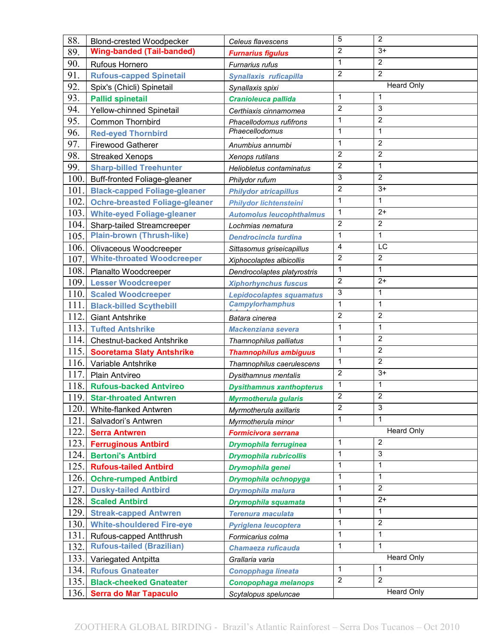| 88.  | <b>Blond-crested Woodpecker</b>       | Celeus flavescens               | 5                 | $\overline{2}$    |
|------|---------------------------------------|---------------------------------|-------------------|-------------------|
| 89.  | <b>Wing-banded (Tail-banded)</b>      | <b>Furnarius figulus</b>        | $\overline{2}$    | $3+$              |
| 90.  | Rufous Hornero                        | Furnarius rufus                 | $\mathbf{1}$      | $\overline{2}$    |
| 91.  | <b>Rufous-capped Spinetail</b>        | Synallaxis ruficapilla          | $\overline{2}$    | $\overline{2}$    |
| 92.  | Spix's (Chicli) Spinetail             | Synallaxis spixi                | <b>Heard Only</b> |                   |
| 93.  | <b>Pallid spinetail</b>               | Cranioleuca pallida             | $\mathbf{1}$      | 1                 |
| 94.  | Yellow-chinned Spinetail              | Certhiaxis cinnamomea           | $\overline{2}$    | 3                 |
| 95.  | <b>Common Thornbird</b>               | Phacellodomus rufifrons         | $\mathbf{1}$      | $\overline{2}$    |
| 96.  | <b>Red-eyed Thornbird</b>             | Phaecellodomus                  | 1                 | 1                 |
| 97.  | <b>Firewood Gatherer</b>              | Anumbius annumbi                | $\mathbf{1}$      | $\overline{2}$    |
| 98.  | <b>Streaked Xenops</b>                | Xenops rutilans                 | $\overline{2}$    | $\overline{2}$    |
| 99.  | <b>Sharp-billed Treehunter</b>        | Heliobletus contaminatus        | $\overline{2}$    | 1                 |
| 100. | Buff-fronted Foliage-gleaner          | Philydor rufum                  | 3                 | 2                 |
| 101. | <b>Black-capped Foliage-gleaner</b>   | <b>Philydor atricapillus</b>    | $\overline{2}$    | $3+$              |
| 102. | <b>Ochre-breasted Foliage-gleaner</b> | <b>Philydor lichtensteini</b>   | $\mathbf{1}$      | 1                 |
| 103. | <b>White-eyed Foliage-gleaner</b>     | <b>Automolus leucophthalmus</b> | $\mathbf{1}$      | $2+$              |
| 104. | Sharp-tailed Streamcreeper            | Lochmias nematura               | $\overline{2}$    | $\overline{2}$    |
| 105. | <b>Plain-brown (Thrush-like)</b>      | <b>Dendrocincla turdina</b>     | $\mathbf{1}$      | 1                 |
| 106. | Olivaceous Woodcreeper                | Sittasomus griseicapillus       | $\overline{4}$    | LC                |
| 107. | <b>White-throated Woodcreeper</b>     | Xiphocolaptes albicollis        | $\overline{2}$    | $\overline{2}$    |
| 108. | Planalto Woodcreeper                  | Dendrocolaptes platyrostris     | $\mathbf{1}$      | 1                 |
| 109. | <b>Lesser Woodcreeper</b>             | <b>Xiphorhynchus fuscus</b>     | $\overline{2}$    | $2+$              |
| 110. | <b>Scaled Woodcreeper</b>             | <b>Lepidocolaptes squamatus</b> | 3                 | 1                 |
| 111. | <b>Black-billed Scythebill</b>        | <b>Campylorhamphus</b>          | 1                 | 1                 |
| 112. | <b>Giant Antshrike</b>                | Batara cinerea                  | $\overline{2}$    | $\overline{2}$    |
| 113. | <b>Tufted Antshrike</b>               | <b>Mackenziana severa</b>       | 1                 | 1                 |
| 114. | <b>Chestnut-backed Antshrike</b>      | Thamnophilus palliatus          | $\mathbf{1}$      | $\overline{2}$    |
| 115. | <b>Sooretama Slaty Antshrike</b>      | <b>Thamnophilus ambiguus</b>    | $\mathbf{1}$      | $\overline{2}$    |
| 116. | Variable Antshrike                    | Thamnophilus caerulescens       | $\mathbf{1}$      | $\overline{2}$    |
| 117. | Plain Antvireo                        | Dysithamnus mentalis            | $\overline{2}$    | $3+$              |
| 118. | <b>Rufous-backed Antvireo</b>         | <b>Dysithamnus xanthopterus</b> | 1                 | 1                 |
| 119. | <b>Star-throated Antwren</b>          | <b>Myrmotherula gularis</b>     | $\boldsymbol{2}$  | $\overline{2}$    |
| 120. | White-flanked Antwren                 | Myrmotherula axillaris          | $\overline{2}$    | 3                 |
| 121. | Salvadori's Antwren                   | Myrmotherula minor              | 1                 | $\mathbf{1}$      |
| 122. | <b>Serra Antwren</b>                  | Formicivora serrana             |                   | <b>Heard Only</b> |
| 123. | <b>Ferruginous Antbird</b>            | <b>Drymophila ferruginea</b>    | $\mathbf{1}$      | $\overline{2}$    |
| 124. | <b>Bertoni's Antbird</b>              | <b>Drymophila rubricollis</b>   | 1                 | 3                 |
| 125. | <b>Rufous-tailed Antbird</b>          | Drymophila genei                | $\mathbf{1}$      | $\mathbf{1}$      |
| 126. | <b>Ochre-rumped Antbird</b>           | Drymophila ochnopyga            | 1                 | 1                 |
| 127. | <b>Dusky-tailed Antbird</b>           | Drymophila malura               | $\mathbf{1}$      | $\overline{2}$    |
| 128. | <b>Scaled Antbird</b>                 | Drymophila squamata             | $\mathbf{1}$      | $2+$              |
| 129. | <b>Streak-capped Antwren</b>          | <b>Terenura maculata</b>        | $\mathbf{1}$      | $\mathbf{1}$      |
| 130. | <b>White-shouldered Fire-eye</b>      | Pyriglena leucoptera            | 1                 | $\overline{2}$    |
| 131. | Rufous-capped Antthrush               | Formicarius colma               | $\mathbf{1}$      | 1                 |
| 132. | <b>Rufous-tailed (Brazilian)</b>      | Chamaeza ruficauda              | $\mathbf{1}$      | $\mathbf{1}$      |
| 133. | Variegated Antpitta                   | Grallaria varia                 |                   | <b>Heard Only</b> |
| 134. | <b>Rufous Gnateater</b>               | <b>Conopphaga lineata</b>       | $\mathbf{1}$      | $\mathbf{1}$      |
| 135. | <b>Black-cheeked Gnateater</b>        | Conopophaga melanops            | $\overline{2}$    | 2                 |
| 136. | <b>Serra do Mar Tapaculo</b>          | Scytalopus speluncae            |                   | <b>Heard Only</b> |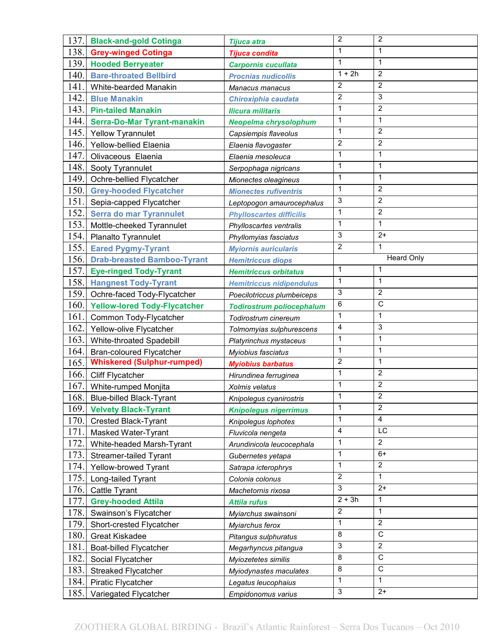| 137. | <b>Black-and-gold Cotinga</b>       | <b>Tijuca atra</b>               | $\overline{2}$ | $\overline{2}$        |
|------|-------------------------------------|----------------------------------|----------------|-----------------------|
| 138. | <b>Grey-winged Cotinga</b>          | Tijuca condita                   | 1              | 1                     |
| 139. | <b>Hooded Berryeater</b>            | <b>Carpornis cucullata</b>       | $\mathbf{1}$   | 1                     |
| 140. | <b>Bare-throated Bellbird</b>       | <b>Procnias nudicollis</b>       | $1 + 2h$       | $\overline{2}$        |
| 141  | White-bearded Manakin               | Manacus manacus                  | $\overline{2}$ | $\overline{2}$        |
| 142  | <b>Blue Manakin</b>                 | Chiroxiphia caudata              | $\overline{2}$ | 3                     |
| 143. | <b>Pin-tailed Manakin</b>           | <b>Ilicura militaris</b>         | $\mathbf{1}$   | $\overline{2}$        |
| 144. | <b>Serra-Do-Mar Tyrant-manakin</b>  | Neopelma chrysolophum            | $\mathbf{1}$   | 1                     |
| 145. | <b>Yellow Tyrannulet</b>            | Capsiempis flaveolus             | $\mathbf{1}$   | $\overline{c}$        |
| 146. | Yellow-bellied Elaenia              | Elaenia flavogaster              | $\overline{2}$ | $\overline{2}$        |
| 147. | Olivaceous Elaenia                  | Elaenia mesoleuca                | $\mathbf{1}$   | 1                     |
| 148. | Sooty Tyrannulet                    | Serpophaga nigricans             | $\mathbf{1}$   | 1                     |
| 149. | Ochre-bellied Flycatcher            | Mionectes oleagineus             | 1              | 1                     |
| 150. | <b>Grey-hooded Flycatcher</b>       | <b>Mionectes rufiventris</b>     | $\mathbf{1}$   | $\overline{2}$        |
| 151. | Sepia-capped Flycatcher             | Leptopogon amaurocephalus        | 3              | $\overline{2}$        |
| 152. | <b>Serra do mar Tyrannulet</b>      | <b>Phylloscartes difficilis</b>  | $\mathbf{1}$   | $\overline{2}$        |
| 153. | Mottle-cheeked Tyrannulet           | Phylloscartes ventralis          | $\mathbf 1$    | 1                     |
| 154. | Planalto Tyrannulet                 | Phyllomyias fasciatus            | 3              | $2+$                  |
| 155. | <b>Eared Pygmy-Tyrant</b>           | <b>Myiornis auricularis</b>      | $\overline{2}$ | 1                     |
| 156. | <b>Drab-breasted Bamboo-Tyrant</b>  | <b>Hemitriccus diops</b>         |                | <b>Heard Only</b>     |
| 157. | <b>Eye-ringed Tody-Tyrant</b>       | <b>Hemitriccus orbitatus</b>     | 1              | 1                     |
| 158. | <b>Hangnest Tody-Tyrant</b>         | <b>Hemitriccus nidipendulus</b>  | $\mathbf{1}$   | 1                     |
| 159. | Ochre-faced Tody-Flycatcher         | Poecilotriccus plumbeiceps       | 3              | $\overline{2}$        |
| 160. | <b>Yellow-lored Tody-Flycatcher</b> | <b>Todirostrum poliocephalum</b> | 6              | $\mathsf C$           |
| 161. | Common Tody-Flycatcher              | Todirostrum cinereum             | $\mathbf{1}$   | $\mathbf{1}$          |
| 162. | Yellow-olive Flycatcher             | Tolmomyias sulphurescens         | $\overline{4}$ | 3                     |
| 163. | White-throated Spadebill            | Platyrinchus mystaceus           | $\mathbf{1}$   | 1                     |
| 164. | <b>Bran-coloured Flycatcher</b>     | Myiobius fasciatus               | $\mathbf{1}$   | 1                     |
| 165. | <b>Whiskered (Sulphur-rumped)</b>   | <b>Myiobius barbatus</b>         | $\overline{2}$ | 1                     |
| 166. | <b>Cliff Flycatcher</b>             | Hirundinea ferruginea            | $\mathbf{1}$   | $\overline{2}$        |
| 167. | White-rumped Monjita                | Xolmis velatus                   | $\mathbf{1}$   | $\overline{c}$        |
| 168. | <b>Blue-billed Black-Tyrant</b>     | Knipolegus cyanirostris          | 1              | $\overline{2}$        |
| 169. | <b>Velvety Black-Tyrant</b>         | <b>Knipolegus nigerrimus</b>     | $\mathbf{1}$   | $\overline{2}$        |
| 170. | <b>Crested Black-Tyrant</b>         | Knipolegus lophotes              | 1              | 4                     |
| 171. | Masked Water-Tyrant                 | Fluvicola nengeta                | 4              | LC                    |
| 172. | White-headed Marsh-Tyrant           | Arundinicola leucocephala        | 1              | $\overline{2}$        |
| 173. | Streamer-tailed Tyrant              | Gubernetes yetapa                | $\mathbf{1}$   | $6+$                  |
| 174. | Yellow-browed Tyrant                | Satrapa icterophrys              | $\mathbf{1}$   | $\overline{2}$        |
| 175. | Long-tailed Tyrant                  | Colonia colonus                  | $\overline{2}$ | $\mathbf{1}$          |
| 176. | Cattle Tyrant                       | Machetornis rixosa               | 3              | $2+$                  |
| 177. | <b>Grey-hooded Attila</b>           | <b>Attila rufus</b>              | $2 + 3h$       | $\mathbf{1}$          |
| 178. | Swainson's Flycatcher               | Myiarchus swainsoni              | $\overline{2}$ | $\mathbf{1}$          |
| 179. | Short-crested Flycatcher            | Myiarchus ferox                  | $\mathbf 1$    | $\overline{c}$        |
| 180. | <b>Great Kiskadee</b>               | Pitangus sulphuratus             | 8              | $\overline{\text{c}}$ |
| 181  | Boat-billed Flycatcher              | Megarhyncus pitangua             | 3              | $\overline{2}$        |
| 182. | Social Flycatcher                   | Myiozetetes similis              | 8              | C                     |
| 183. | <b>Streaked Flycatcher</b>          | Myiodynastes maculates           | 8              | C                     |
| 184. | Piratic Flycatcher                  | Legatus leucophaius              | $\mathbf{1}$   | 1                     |
| 185. | Variegated Flycatcher               | Empidonomus varius               | $\mathbf{3}$   | $2+$                  |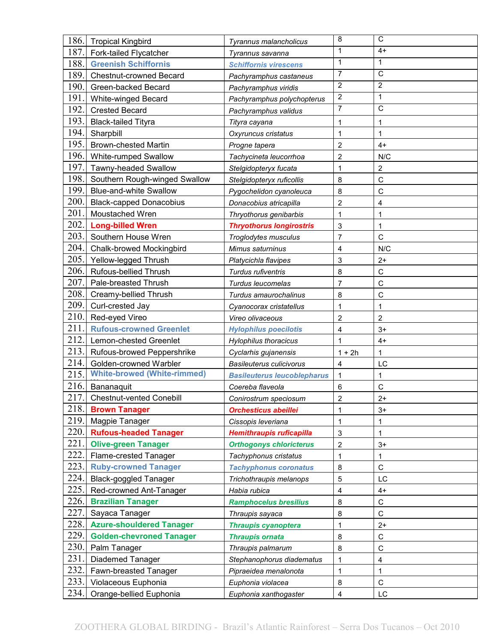| 186.         | <b>Tropical Kingbird</b>                       | Tyrannus malancholicus             | 8                       | C                     |
|--------------|------------------------------------------------|------------------------------------|-------------------------|-----------------------|
| 187.         | Fork-tailed Flycatcher                         | Tyrannus savanna                   | $\mathbf{1}$            | $4+$                  |
| 188.         | <b>Greenish Schiffornis</b>                    | <b>Schiffornis virescens</b>       | $\mathbf{1}$            | $\mathbf{1}$          |
| 189.         | <b>Chestnut-crowned Becard</b>                 | Pachyramphus castaneus             | $\overline{7}$          | $\mathsf{C}$          |
| 190.         | Green-backed Becard                            | Pachyramphus viridis               | $\overline{2}$          | 2                     |
| 191          | White-winged Becard                            | Pachyramphus polychopterus         | $\overline{c}$          | 1                     |
| 192          | <b>Crested Becard</b>                          | Pachyramphus validus               | $\overline{7}$          | $\overline{\text{c}}$ |
| 193.         | <b>Black-tailed Tityra</b>                     | Tityra cayana                      | 1                       | 1                     |
| 194.         | Sharpbill                                      | Oxyruncus cristatus                | 1                       | 1                     |
| 195.         | <b>Brown-chested Martin</b>                    | Progne tapera                      | $\overline{\mathbf{c}}$ | $4+$                  |
| 196.         | White-rumped Swallow                           | Tachycineta leucorrhoa             | $\overline{c}$          | N/C                   |
| 197.         | Tawny-headed Swallow                           | Stelgidopteryx fucata              | 1                       | 2                     |
| 198.         | Southern Rough-winged Swallow                  | Stelgidopteryx ruficollis          | 8                       | C                     |
| 199.         | <b>Blue-and-white Swallow</b>                  | Pygochelidon cyanoleuca            | 8                       | $\mathsf{C}$          |
| 200.         | <b>Black-capped Donacobius</b>                 | Donacobius atricapilla             | $\overline{2}$          | 4                     |
| 201.         | Moustached Wren                                | Thryothorus genibarbis             | 1                       | 1                     |
| 202.         | <b>Long-billed Wren</b>                        | <b>Thryothorus longirostris</b>    | 3                       | 1                     |
| 203.         | Southern House Wren                            | Troglodytes musculus               | $\overline{7}$          | $\mathsf C$           |
| 204.         | <b>Chalk-browed Mockingbird</b>                | Mimus saturninus                   | 4                       | N/C                   |
| 205.         | Yellow-legged Thrush                           | Platycichla flavipes               | 3                       | $2+$                  |
| 206.         | Rufous-bellied Thrush                          | Turdus rufiventris                 | 8                       | $\mathsf{C}$          |
| 207.         | Pale-breasted Thrush                           | Turdus leucomelas                  | $\overline{7}$          | $\mathsf{C}$          |
| 208.         | Creamy-bellied Thrush                          | Turdus amaurochalinus              | 8                       | C                     |
| 209.         | Curl-crested Jay                               | Cyanocorax cristatellus            | 1                       |                       |
| 210.         | Red-eyed Vireo                                 | Vireo olivaceous                   | $\overline{c}$          | $\overline{c}$        |
| 211.         | <b>Rufous-crowned Greenlet</b>                 | <b>Hylophilus poecilotis</b>       | 4                       | $3+$                  |
|              |                                                |                                    |                         |                       |
| 212.         | Lemon-chested Greenlet                         | Hylophilus thoracicus              | 1                       | $4+$                  |
| 213.         | Rufous-browed Peppershrike                     | Cyclarhis gujanensis               | $1 + 2h$                | 1                     |
| 214.         | Golden-crowned Warbler                         | <b>Basileuterus culicivorus</b>    | 4                       | LC                    |
| 215.         | <b>White-browed (White-rimmed)</b>             | <b>Basileuterus leucoblepharus</b> | $\mathbf{1}$            | 1                     |
| 216.         | Bananaquit                                     | Coereba flaveola                   | 6                       | $\mathsf C$           |
| 217.         | <b>Chestnut-vented Conebill</b>                | Conirostrum speciosum              | $\overline{\mathbf{c}}$ | $2+$                  |
| 218.         | <b>Brown Tanager</b>                           | <b>Orchesticus abeillei</b>        | 1                       | $3+$                  |
| 219.         | Magpie Tanager                                 | Cissopis leveriana                 | 1                       | 1                     |
| 220.         | <b>Rufous-headed Tanager</b>                   | <b>Hemithraupis ruficapilla</b>    | 3                       | 1                     |
| 221.         | <b>Olive-green Tanager</b>                     | <b>Orthogonys chloricterus</b>     | $\overline{c}$          | $3+$                  |
| 222.         | Flame-crested Tanager                          | Tachyphonus cristatus              | $\mathbf{1}$            | 1                     |
| 223.         | <b>Ruby-crowned Tanager</b>                    | <b>Tachyphonus coronatus</b>       | 8                       | C                     |
| 224.         | <b>Black-goggled Tanager</b>                   | Trichothraupis melanops            | 5                       | LC                    |
| 225.         | Red-crowned Ant-Tanager                        | Habia rubica                       | 4                       | $4+$                  |
| 226.         | <b>Brazilian Tanager</b>                       | <b>Ramphocelus bresilius</b>       | 8                       | C                     |
| 227.         | Sayaca Tanager                                 | Thraupis sayaca                    | 8                       | $\mathsf C$           |
| 228.         | <b>Azure-shouldered Tanager</b>                | <b>Thraupis cyanoptera</b>         | 1                       | $2+$                  |
| 229.         | <b>Golden-chevroned Tanager</b>                | <b>Thraupis ornata</b>             | 8                       | $\mathsf C$           |
| 230.         | Palm Tanager                                   | Thraupis palmarum                  | 8                       | C                     |
| 231.         | Diademed Tanager                               | Stephanophorus diadematus          | 1                       | 4                     |
| 232.         | Fawn-breasted Tanager                          | Pipraeidea menalonota              | 1                       | 1                     |
| 233.<br>234. | Violaceous Euphonia<br>Orange-bellied Euphonia | Euphonia violacea                  | 8                       | $\mathsf C$<br>LC     |